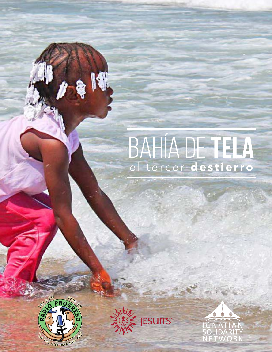



K

IGNATIAN<br>SOLIDARITY<br>NETWORK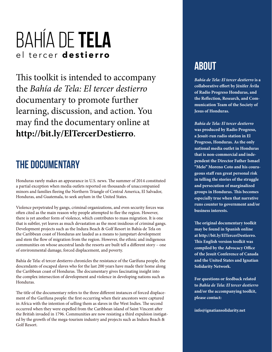This toolkit is intended to accompany the *Bahía de Tela: El tercer destierro*  documentary to promote further learning, discussion, and action. You may find the documentary online at **http://bit.ly/ElTercerDestierro**.

## **the documentary**

Honduras rarely makes an appearance in U.S. news. The summer of 2014 constituted a partial exception when media outlets reported on thousands of unaccompanied minors and families fleeing the Northern Triangle of Central America, El Salvador, Honduras, and Guatemala, to seek asylum in the United States.

Violence perpetrated by gangs, criminal organizations, and even security forces was often cited as the main reason why people attempted to flee the region. However, there is yet another form of violence, which contributes to mass migration. It is one that is subtler, yet leaves as much devastation as the most insidious of criminal gangs. Development projects such as the Indura Beach & Golf Resort in Bahía de Tela on the Caribbean coast of Honduras are lauded as a means to jumpstart development and stem the flow of migration from the region. However, the ethnic and indigenous communities on whose ancestral lands the resorts are built tell a different story – one of environmental damage, forced displacement, and poverty.

Bahía de Tela: el tercer destierro chronicles the resistance of the Garífuna people, the descendants of escaped slaves who for the last 200 years have made their home along the Caribbean coast of Honduras. The documentary gives fascinating insight into the complex intersection of development and violence in developing nations such as Honduras.

The title of the documentary refers to the three different instances of forced displacement of the Garífuna people: the first occurring when their ancestors were captured in Africa with the intention of selling them as slaves in the West Indies. The second occurred when they were expelled from the Caribbean island of Saint Vincent after the British invaded in 1796. Communities are now resisting a third expulsion instigated by the growth of the mega-tourism industry and projects such as Indura Beach & Golf Resort.

## **about**

*Bahía de Tela: El tercer destierro* **is a collaborative effort by Jénifer Ávila of Radio Progreso Honduras, and the Reflection, Research, and Communication Team of the Society of Jesus of Honduras.** 

*Bahía de Tela: El tercer destierro*  **was produced by Radio Progreso, a Jesuit-run radio station in El Progreso, Honduras. As the only national media outlet in Honduras that is non-commercial and independent the Director Father Ismael "Melo" Moreno Coto and his courageous staff run great personal risk in telling the stories of the struggle and persecution of marginalized groups in Honduras. This becomes especially true when that narrative runs counter to government and/or business interests.** 

**The original documentary toolkit may be found in Spanish online at http://bit.ly/ElTercerDestierro. This English version toolkit was compiled by the Advocacy Office of the Jesuit Conference of Canada and the United States and Ignatian Solidarity Network.**

**For questions or feedback related to** *Bahía de Tela: El tercer destierro* **and/or the accompanying toolkit, please contact:** 

**info@ignatiansolidarity.net**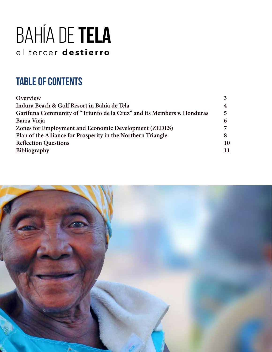# **table of contents**

| Overview                                                               |    |
|------------------------------------------------------------------------|----|
| Indura Beach & Golf Resort in Bahía de Tela                            |    |
| Garífuna Community of "Triunfo de la Cruz" and its Members v. Honduras | 5  |
| Barra Vieja                                                            |    |
| Zones for Employment and Economic Development (ZEDES)                  |    |
| Plan of the Alliance for Prosperity in the Northern Triangle           |    |
| <b>Reflection Questions</b>                                            | 10 |
| Bibliography                                                           | 11 |
|                                                                        |    |

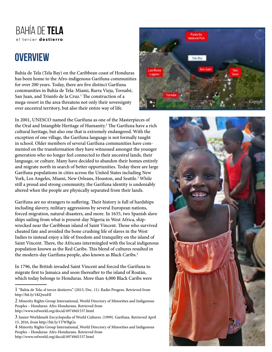# **overview**

Bahía de Tela (Tela Bay) on the Caribbean coast of Honduras has been home to the Afro-indigenous Garífuna communities for over 200 years. Today, there are five distinct Garífuna communities in Bahía de Tela: Miami, Barra Vieja, Tornabé, San Juan, and Triunfo de la Cruz.<sup>1</sup> The construction of a mega-resort in the area threatens not only their sovereignty over ancestral territory, but also their entire way of life.

In 2001, UNESCO named the Garífuna as one of the Masterpieces of the Oral and Intangible Heritage of Humanity.<sup>2</sup> The Garífuna have a rich cultural heritage, but also one that is extremely endangered. With the exception of one village, the Garífuna language is not formally taught in school. Older members of several Garífuna communities have commented on the transformation they have witnessed amongst the younger generation who no longer feel connected to their ancestral lands, their language, or culture. Many have decided to abandon their homes entirely and migrate north in search of better opportunities. Today there are large Garífuna populations in cities across the United States including New York, Los Angeles, Miami, New Orleans, Houston, and Seattle.<sup>3</sup> While still a proud and strong community, the Garífuna identity is undeniably altered when the people are physically separated from their lands.

Garífuna are no strangers to suffering. Their history is full of hardships including slavery, military aggressions by several European nations, forced migration, natural disasters, and more. In 1635, two Spanish slave ships sailing from what is present-day Nigeria in West Africa, shipwrecked near the Caribbean island of Saint Vincent. Those who survived cheated fate and avoided the bone crushing life of slaves in the West Indies to instead enjoy a life of freedom and tranquility on the island of Saint Vincent. There, the Africans intermingled with the local indigenous population known as the Red Caribs. This blend of cultures resulted in the modern-day Garífuna people, also known as Black Caribs.<sup>4</sup>

In 1796, the British invaded Saint Vincent and forced the Garífuna to migrate first to Jamaica and soon thereafter to the island of Roatán, which today belongs to Honduras. More than 4,000 Black Caribs were





<sup>1</sup> "Bahía de Tela: el tercer destierro." (2015, Dec. 11). Radio Progeso. Retrieved from http://bit.ly/1KQwuHI

<sup>2</sup> Minority Rights Group International, World Directory of Minorities and Indigenous Peoples – Honduras: Afro-Hondurans. Retrieved from http://www.refworld.org/docid/49749d1537.html

<sup>3</sup> Junior Worldmark Encyclopedia of World Cultures. (1999). Garífuna. Retrieved April 15, 2016, from http://bit.ly/1TWBgGe

<sup>4</sup> Minority Rights Group International, World Directory of Minorities and Indigenous Peoples – Honduras: Afro-Hondurans. Retrieved from http://www.refworld.org/docid/49749d1537.html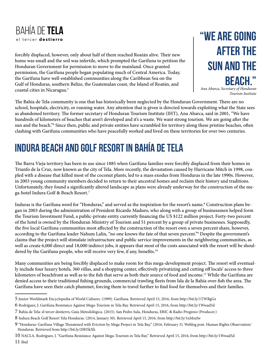

forcibly displaced, however, only about half of them reached Roatán alive. Their new home was small and the soil was infertile, which prompted the Garífuna to petition the Honduran Government for permission to move to the mainland. Once granted permission, the Garífuna people began populating much of Central America. Today, the Garífuna have well-established communities along the Caribbean Sea on the Gulf of Honduras, southern Belize, the Guatemalan coast, the Island of Roatán, and coastal cities in Nicaragua.5

**"We are going after the sun and the beach."**

*Ana Abarca, Secretary of Honduran Tourism Institute*

The Bahía de Tela community is one that has historically been neglected by the Honduran Government. There are no school, hospitals, electricity, or running water. Any attention that is given is directed towards exploiting what the State sees as abandoned territory. The former secretary of Honduran Tourism Institute (IHT), Ana Abarca, said in 2001, "We have hundreds of kilometers of beaches that aren't developed and it's a waste. We want strong tourism. We are going after the sun and the beach."6 Since then, public and private entities have scrambled for territory along these pristine beaches, often clashing with Garífuna communities who have peacefully worked and lived on these territories for over two centuries.

# **indura beach and golf resort in bahía de tela**

The Barra Vieja territory has been in use since 1885 when Garífuna families were forcibly displaced from their homes in Triunfo de la Cruz, now known as the city of Tela. More recently, the devastation caused by Hurricane Mitch in 1998, coupled with a disease that killed most of the coconut plants, led to a mass exodus from Honduras in the late 1990s. However, in 2003 young community members decided to return to their ancestral homes and reclaim their history and traditions. Unfortunately, they found a significantly altered landscape as plans were already underway for the construction of the mega-hotel Indura Golf & Beach Resort.7

Induras is the Garífuna word for "Honduras," and served as the inspiration for the resort's name.8 Construction plans began in 2003 during the administration of President Ricardo Maduro, who along with a group of businessmen helped form the Tourism Investment Fund, a public-private entity currently financing the US \$122 million project. Forty-two percent of the hotel is owned by the Honduran Ministry of Tourism and 51 percent by a group of private businesses. Supposedly, the five local Garífuna communities most affected by the construction of the resort own a seven percent share, however, according to the Garífuna leader Nahum Lalin, "no one knows the fate of that seven percent."9 Despite the government's claims that the project will stimulate infrastructure and public service improvements in the neighboring communities, as well as create 6,000 direct and 18,000 indirect jobs, it appears that most of the costs associated with the resort will be shouldered by the Garífuna people, who will receive very few, if any, benefits.<sup>10</sup>

Many communities are being forcibly displaced to make room for this mega-development project. The resort will eventually include four luxury hotels, 360 villas, and a shopping center, effectively privatizing and cutting off locals' access to three kilometers of beachfront as well as to the fish that serve as both their source of food and income.<sup>11</sup> While the Garífuna are denied access to their traditional fishing grounds, commercial trawling fleets from Isla de la Bahía over-fish the area. The Garífuna have seen their catch plummet, forcing them to travel further to find food for themselves and their families.

<sup>5</sup> Junior Worldmark Encyclopedia of World Cultures. (1999). Garífuna. Retrieved April 15, 2016, from http://bit.ly/1TWBgGe

<sup>6</sup> Rodríguez, J. Garífuna Resistance Against Mega-Tourism in Tela Bay. Retrieved April 15, 2016, from http://bit.ly/1Wwad5d

<sup>7</sup> Bahía de Tela: el tercer destierro, Guía Metodológica. (2015). San Pedro Sula, Honduras, ERIC & Radio Progreso (Producer.)

<sup>8</sup> Indura Beach Golf Resort Tela Honduras. (2014, January 30). Retrieved April 15, 2016, from http://bit.ly/1nMzzfw

<sup>9 &</sup>quot;Honduras: Garífuna Village Threatened with Eviction by Mega Project in Tela Bay." (2016, February 3). Weblog post. Human Rights Observation/ Honduras. Retrieved from http://bit.ly/20H5kXk

<sup>10</sup> NACLA. Rodríguez, J. "Garífuna Resistance Against Mega-Tourism in Tela Bay." Retrieved April 15, 2016, from http://bit.ly/1Wwad5d 11 Ibid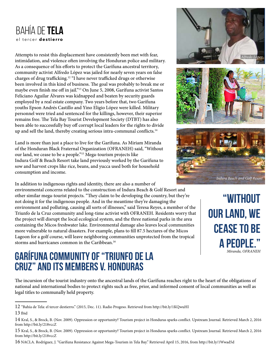Attempts to resist this displacement have consistently been met with fear, intimidation, and violence often involving the Honduran police and military. As a consequence of his efforts to protect the Garífuna ancestral territory, community activist Alfredo López was jailed for nearly seven years on false charges of drug trafficking.12 "I have never trafficked drugs or otherwise been involved in this kind of business. The goal was probably to break me or maybe even finish me off in jail."13 On June 5, 2008, Garífuna activist Santos Feliciano Aguilar Álvares was kidnapped and beaten by security guards employed by a real estate company. Two years before that, two Garífuna youths Epson Andrés Castillo and Yino Eligio López were killed. Military personnel were tried and sentenced for the killings, however, their superior remains free. The Tela Bay Tourist Development Society (DTBT) has also been able to successfully buy off corrupt local leaders for the rights to divide up and sell the land, thereby creating serious intra-communal conflicts.<sup>14</sup>

Land is more than just a place to live for the Garífuna. As Miriam Miranda of the Honduran Black Fraternal Organization (OFRANEH) said, "Without our land, we cease to be a people."15 Mega-tourism projects like Indura Golf & Beach Resort take land previously worked by the Garífuna to sow and harvest crops like rice, beans, and yucca used both for household consumption and income.

In addition to indigenous rights and identity, there are also a number of

environmental concerns related to the construction of Indura Beach & Golf Resort and other similar mega-tourist projects. "They claim to be developing the country, but they're not doing it for the indigenous people. And in the meantime they're damaging the environment and polluting, causing all sorts of illnesses," said Teresa Reyes, a member of the Triunfo de la Cruz community and long-time activist with OFRANEH. Residents worry that the project will disrupt the local ecological system, and the three national parks in the area containing the Micos freshwater lake. Environmental damage also leaves local communities more vulnerable to natural disasters. For example, plans to fill 87.5 hectares of the Micos Lagoon for a golf course, will leave neighboring communities unprotected from the tropical storms and hurricanes common in the Caribbean.<sup>16</sup>

## **Garífuna Community of "Triunfo de la Cruz" and its Members v. Honduras**



**"without our land, we cease to be a people."** *Miranda, OFRANEH*

The incursion of the tourist industry onto the ancestral lands of the Garífuna reaches right to the heart of the obligations of national and international bodies to protect rights such as free, prior, and informed consent of local communities as well as legal titles to communally held property.

<sup>12 &</sup>quot;Bahía de Tela: el tercer destierro." (2015, Dec. 11). Radio Progeso. Retrieved from http://bit.ly/1KQwuHI

<sup>13</sup> Ibid

<sup>14</sup> Kral, S., & Brock, B. (Nov. 2009). Oppression or opportunity? Tourism project in Honduras sparks conflict. Upstream Journal. Retrieved March 2, 2016 from http://bit.ly/218vccZ

<sup>15</sup> Kral, S., & Brock, B. (Nov. 2009). Oppression or opportunity? Tourism project in Honduras sparks conflict. Upstream Journal. Retrieved March 2, 2016 from http://bit.ly/218vccZ

<sup>16</sup> NACLA. Rodríguez, J. "Garífuna Resistance Against Mega-Tourism in Tela Bay." Retrieved April 15, 2016, from http://bit.ly/1Wwad5d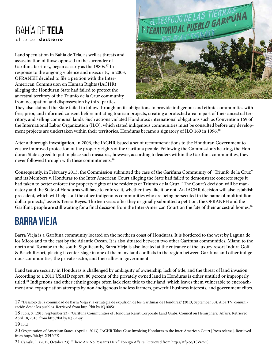Land speculation in Bahía de Tela, as well as threats and assassination of those opposed to the surrender of Garífuna territory, began as early as the 1980s.<sup>17</sup> In response to the ongoing violence and insecurity, in 2003, OFRANEH decided to file a petition with the Inter-American Commission on Human Rights (IACHR) alleging the Honduran State had failed to protect the ancestral territory of the Triunfo de la Cruz community from occupation and dispossession by third parties.



They also claimed the State failed to follow through on its obligations to provide indigenous and ethnic communities with free, prior, and informed consent before initiating tourism projects, creating a protected area in part of their ancestral territory, and selling communal lands. Such actions violated Honduras's international obligations such as Convention 169 of the International Labor Organization (ILO), which stated indigenous communities must be consulted before any development projects are undertaken within their territories. Honduras became a signatory of ILO 169 in 1996.<sup>18</sup>

After a thorough investigation, in 2006, the IACHR issued a set of recommendations to the Honduran Government to ensure improved protection of the property rights of the Garífuna people. Following the Commission's hearing, the Honduran State agreed to put in place such measures, however, according to leaders within the Garífuna communities, they never followed through with these commitments.<sup>19</sup>

Consequently, in February 2013, the Commission submitted the case of the Garífuna Community of "Triunfo de la Cruz" and its Members v. Honduras to the Inter American Court alleging the State had failed to demonstrate concrete steps it had taken to better enforce the property rights of the residents of Triunfo de la Cruz. "The Court's decision will be mandatory and the State of Honduras will have to enforce it, whether they like it or not. An IACHR decision will also establish precedent, which will help…all the other indigenous communities who are being persecuted in the name of multimillion dollar projects," asserts Teresa Reyes. Thirteen years after they originally submitted a petition, the OFRANEH and the Garífuna people are still waiting for a final decision from the Inter-American Court on the fate of their ancestral homes.<sup>20</sup>

# **Barra Vieja**

Barra Vieja is a Garífuna community located on the northern coast of Honduras. It is bordered to the west by Laguna de los Micos and to the east by the Atlantic Ocean. It is also situated between two other Garífuna communities, Miami to the north and Tornabé to the south. Significantly, Barra Vieja is also located at the entrance of the luxury resort Indura Golf & Beach Resort, placing it center-stage in one of the many land conflicts in the region between Garifuna and other indigenous communities, the private sector, and their allies in government.

Land tenure security in Honduras is challenged by ambiguity of ownership, lack of title, and the threat of land invasion. According to a 2011 USAID report, 80 percent of the privately owned land in Honduras is either untitled or improperly titled.<sup>21</sup> Indigenous and other ethnic groups often lack clear title to their land, which leaves them vulnerable to encroachment and expropriation attempts by non-indigenous landless farmers, powerful business interests, and government elites.

<sup>17 &</sup>quot;Desalojo de la comunidad de Barra Vieja y la estrategia de expulsión de los Garífunas de Honduras." (2013, September 30). Alba TV: comunicación desde los pueblos. Retrieved from http://bit.ly/1Q168Sr

<sup>18</sup> Jubis, S. (2015, September 23). "Garífuna Communities of Honduras Resist Corporate Land Grabs. Council on Hemispheric Affairs. Retrieved April 18, 2016, from http://bit.ly/1QR9nuy

<sup>19</sup> Ibid

<sup>20</sup> Organization of American States. (April 4, 2013). IACHR Takes Case Involving Honduras to the Inter-American Court [Press release]. Retrieved from http://bit.ly/1XPUcFX

<sup>21</sup> Caraski, L. (2015, October 23). "There Are No Peasants Here." Foreign Affairs. Retrieved from http://atfp.co/1SV6xcG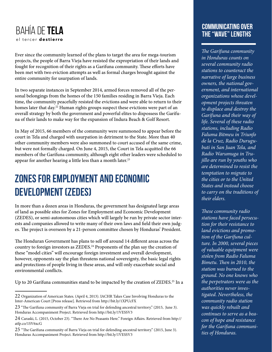Ever since the community learned of the plans to target the area for mega-tourism projects, the people of Barra Vieja have resisted the expropriation of their lands and fought for recognition of their rights as a Garifuna community. These efforts have been met with two eviction attempts as well as formal charges brought against the entire community for usurpation of lands.

In two separate instances in September 2014, armed forces removed all of the personal belongings from the homes of the 150 families residing in Barra Vieja. Each time, the community peacefully resisted the evictions and were able to return to their homes later that day.<sup>22</sup> Human rights groups suspect these evictions were part of an overall strategy by both the government and powerful elites to dispossess the Garífuna of their lands to make way for the expansion of Indura Beach & Golf Resort.

In May of 2015, 66 members of the community were summoned to appear before the court in Tela and charged with usurpation in detriment to the State. More than 40 other community members were also summoned to court accused of the same crime, but were not formally charged. On June 4, 2015, the Court in Tela acquitted the 66 members of the Garífuna community, although eight other leaders were scheduled to appear for another hearing a little less than a month later.<sup>23</sup>

# **Zones for Employment and Economic Development (ZEDES)**

In more than a dozen areas in Honduras, the government has designated large areas of land as possible sites for Zones for Employment and Economic Development (ZEDES), or semi-autonomous cities which will largely be run by private sector interests and companies allowed to write many of their own laws and field their own judges. The project is overseen by a 21-person committee chosen by Honduras' President.

The Honduran Government has plans to sell off around 14 different areas across the country to foreign investors as ZEDES.<sup>24</sup> Proponents of the plan say the creation of these "model cities" will encourage foreign investment and overall development, however, opponents say the plan threatens national sovereignty, the basic legal rights and protections of people living in these areas, and will only exacerbate social and environmental conflicts.

Up to 20 Garífuna communities stand to be impacted by the creation of ZEDES.<sup>25</sup> In a

#### **communicating over the "wave" lengths**

*The Garífuna community in Honduras counts on several community radio stations to counteract the narrative of large business owners, the national government, and international organizations whose development projects threaten to displace and destroy the Garífuna and their way of life. Several of these radio stations, including Radio Faluma Bitmeu in Triunfo de la Cruz, Radio Durugubuti in San Juan Tela, and Radio Warumuga in Trujillo are run by youths who are determined to resist the temptation to migrate to the cities or to the United States and instead choose to carry on the traditions of their elders.* 

*These community radio stations have faced persecution for their resistance to land evictions and promotion of the Garífuna culture. In 2000, several pieces of valuable equipment were stolen from Radio Faluma Bimetu. Then in 2010, the station was burned to the ground. No one knows who the perpetrators were as the authorities never investigated. Nevertheless, the community radio station was quickly rebuilt and continues to serve as a beacon of hope and resistance for the Garífuna communities of Honduras.*

<sup>22</sup> Organization of American States. (April 4, 2013). IACHR Takes Case Involving Honduras to the Inter-American Court [Press release]. Retrieved from http://bit.ly/1XPUcFX

<sup>23 &</sup>quot;The Garífuna community of Barra Vieja on trial for defending ancestral territory." (2015, June 3). Honduras Accompaniment Project. Retrieved from http://bit.ly/1VESSV3

<sup>24</sup> Caraski, L. (2015, October 23). "There Are No Peasants Here." Foreign Affairs. Retrieved from http:// atfp.co/1SV6xcG

<sup>25 &</sup>quot;The Garífuna community of Barra Vieja on trial for defending ancestral territory." (2015, June 3). Honduras Accompaniment Project. Retrieved from http://bit.ly/1VESSV3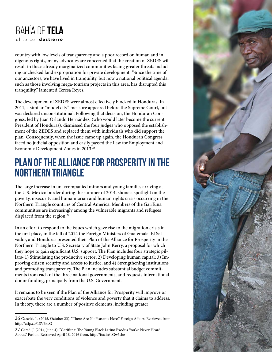

country with low levels of transparency and a poor record on human and indigenous rights, many advocates are concerned that the creation of ZEDES will result in these already marginalized communities facing greater threats including unchecked land expropriation for private development. "Since the time of our ancestors, we have lived in tranquility, but now a national political agenda, such as those involving mega-tourism projects in this area, has disrupted this tranquility," lamented Teresa Reyes.

The development of ZEDES were almost effectively blocked in Honduras. In 2011, a similar "model city" measure appeared before the Supreme Court, but was declared unconstitutional. Following that decision, the Honduran Congress, led by Juan Orlando Hernández, (who would later become the current President of Honduras), dismissed the four judges who opposed the establishment of the ZEDES and replaced them with individuals who did support the plan. Consequently, when the issue came up again, the Honduran Congress faced no judicial opposition and easily passed the Law for Employment and Economic Development Zones in 2013.26

### **Plan of the Alliance for Prosperity in the Northern Triangle**

The large increase in unaccompanied minors and young families arriving at the U.S.-Mexico border during the summer of 2014, shone a spotlight on the poverty, insecurity and humanitarian and human rights crisis occurring in the Northern Triangle countries of Central America. Members of the Garífuna communities are increasingly among the vulnerable migrants and refugees displaced from the region.<sup>27</sup>

In an effort to respond to the issues which gave rise to the migration crisis in the first place, in the fall of 2014 the Foreign Ministers of Guatemala, El Salvador, and Honduras presented their Plan of the Alliance for Prosperity in the Northern Triangle to U.S. Secretary of State John Kerry, a proposal for which they hope to gain significant U.S. support. The Plan includes four strategic pillars- 1) Stimulating the productive sector; 2) Developing human capital; 3) Improving citizen security and access to justice, and 4) Strengthening institutions and promoting transparency. The Plan includes substantial budget commitments from each of the three national governments, and requests international donor funding, principally from the U.S. Government.

It remains to be seen if the Plan of the Alliance for Prosperity will improve or exacerbate the very conditions of violence and poverty that it claims to address. In theory, there are a number of positive elements, including greater



<sup>26</sup> Caraski, L. (2015, October 23). "There Are No Peasants Here." Foreign Affairs. Retrieved from http://atfp.co/1SV6xcG

<sup>27</sup> Garsd, J. (2014, June 4). "Garífuna: The Young Black Latino Exodus You've Never Heard About." Fusion. Retrieved April 18, 2016 from, http://fus.in/1Gw5she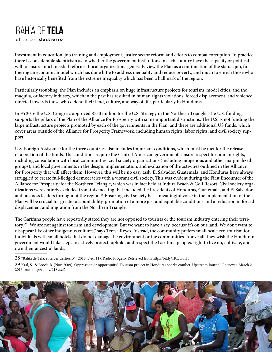investment in education, job training and employment, justice sector reform and efforts to combat corruption. In practice there is considerable skepticism as to whether the government institutions in each country have the capacity or political will to ensure much needed reforms. Local organizations generally view the Plan as a continuation of the status quo, furthering an economic model which has done little to address inequality and reduce poverty, and much to enrich those who have historically benefited from the extreme inequality which has been a hallmark of the region.

Particularly troubling, the Plan includes an emphasis on huge infrastructure projects for tourism, model cities, and the maquila, or factory industry, which in the past has resulted in human rights violations, forced displacement, and violence directed towards those who defend their land, culture, and way of life, particularly in Honduras.

In FY2016 the U.S. Congress approved \$750 million for the U.S. Strategy in the Northern Triangle. The U.S. funding supports the pillars of the Plan of the Alliance for Prosperity with some important distinctions. The U.S. is not funding the large infrastructure projects promoted by each of the governments in the Plan, and there are additional US funds, which cover areas outside of the Alliance for Prosperity Framework, including human rights, labor rights, and civil society support.

U.S. Foreign Assistance for the three countries also includes important conditions, which must be met for the release of a portion of the funds. The conditions require the Central American governments ensure respect for human rights, including consultation with local communities, civil society organizations (including indigenous and other marginalized groups), and local governments in the design, implementation, and evaluation of the activities outlined in the Alliance for Prosperity that will affect them. However, this will be no easy task. El Salvador, Guatemala, and Honduras have always struggled to create full-fledged democracies with a vibrant civil society. This was evident during the First Encounter of the Alliance for Prosperity for the Northern Triangle, which was in fact held at Indura Beach & Golf Resort. Civil society organizations were entirely excluded from this meeting that included the Presidents of Honduras, Guatemala, and El Salvador and business leaders throughout the region.<sup>28</sup> Ensuring civil society has a meaningful voice in the implementation of the Plan will be crucial for greater accountability, promotion of a more just and equitable conditions and a reduction in forced displacement and migration from the Northern Triangle.

The Garífuna people have repeatedly stated they are not opposed to tourists or the tourism industry entering their territory.<sup>29</sup> "We are not against tourism and development. But we want to have a say, because it's on our land. We don't want to disappear like other indigenous cultures," says Teresa Reyes. Instead, the community prefers small-scale eco-tourism for individuals with small hotels that do not damage the environment or the communities. Above all, they wish the Honduran government would take steps to actively protect, uphold, and respect the Garífuna people's right to live on, cultivate, and own their ancestral lands.

28 "Bahía de Tela: el tercer destierro." (2015, Dec. 11). Radio Progeso. Retrieved from http://bit.ly/1KQwuHI

<sup>29</sup> Kral, S., & Brock, B. (Nov. 2009). Oppression or opportunity? Tourism project in Honduras sparks conflict. Upstream Journal. Retrieved March 2, 2016 from http://bit.ly/218vccZ

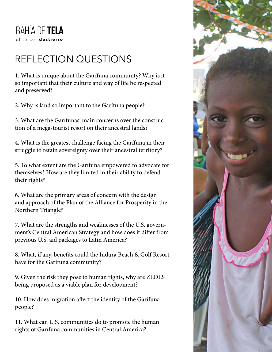# reflection questions

1. What is unique about the Garífuna community? Why is it so important that their culture and way of life be respected and preserved?

2. Why is land so important to the Garífuna people?

3. What are the Garífunas' main concerns over the construction of a mega-tourist resort on their ancestral lands?

4. What is the greatest challenge facing the Garífuna in their struggle to retain sovereignty over their ancestral territory?

5. To what extent are the Garífuna empowered to advocate for themselves? How are they limited in their ability to defend their rights?

6. What are the primary areas of concern with the design and approach of the Plan of the Alliance for Prosperity in the Northern Triangle?

7. What are the strengths and weaknesses of the U.S. government's Central American Strategy and how does it differ from previous U.S. aid packages to Latin America?

8. What, if any, benefits could the Indura Beach & Golf Resort have for the Garífuna community?

9. Given the risk they pose to human rights, why are ZEDES being proposed as a viable plan for development?

10. How does migration affect the identity of the Garífuna people?

11. What can U.S. communities do to promote the human rights of Garífuna communities in Central America?

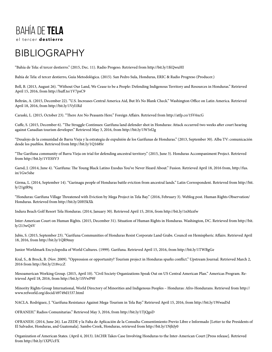## **BIBLIOGRAPHY**

"Bahía de Tela: el tercer destierro." (2015, Dec. 11). Radio Progeso. Retrieved from http://bit.ly/1KQwuHI

Bahía de Tela: el tercer destierro, Guía Metodológica. (2015). San Pedro Sula, Honduras, ERIC & Radio Progreso (Producer.)

Bell, B. (2013, August 26). "Without Our Land, We Cease to be a People: Defending Indigenous Territory and Resources in Honduras." Retrieved April 15, 2016, from http://huff.to/1V7psC9

Beltrán, A. (2015, December 22). "U.S. Increases Central America Aid, But It's No Blank Check." Washington Office on Latin America. Retrieved April 18, 2016, from http://bit.ly/1Vyl1Rd

Caraski, L. (2015, October 23). "There Are No Peasants Here." Foreign Affairs. Retrieved from http://atfp.co/1SV6xcG

Cuffe, S. (2015, December 6). "The Struggle Continues: Garífuna land defender shot in Honduras: Attack occurred two weeks after court hearing against Canadian tourism developer." Retrieved May 3, 2016, from http://bit.ly/1W5rl2g

"Desalojo de la comunidad de Barra Vieja y la estrategia de expulsión de los Garífunas de Honduras." (2013, September 30). Alba TV: comunicación desde los pueblos. Retrieved from http://bit.ly/1Q168Sr

"The Garífuna community of Barra Vieja on trial for defending ancestral territory." (2015, June 3). Honduras Accompaniment Project. Retrieved from http://bit.ly/1VESSV3

Garsd, J. (2014, June 4). "Garífuna: The Young Black Latino Exodus You've Never Heard About." Fusion. Retrieved April 18, 2016 from, http://fus. in/1Gw5she

Girma, L. (2014, September 14). "Garinagu people of Honduras battle eviction from ancestral lands." Latin Correspondent. Retrieved from http://bit. ly/21gtR9q

"Honduras: Garífuna Village Threatened with Eviction by Mega Project in Tela Bay." (2016, February 3). Weblog post. Human Rights Observation/ Honduras. Retrieved from http://bit.ly/20H5kXk

Indura Beach Golf Resort Tela Honduras. (2014, January 30). Retrieved April 15, 2016, from http://bit.ly/1nMzzfw

Inter-American Court on Human Rights. (2015, December 31). Situation of Human Rights in Honduras. Washington, DC. Retrieved from http://bit. ly/213wQ4V

Jubis, S. (2015, September 23). "Garífuna Communities of Honduras Resist Corporate Land Grabs. Council on Hemispheric Affairs. Retrieved April 18, 2016, from http://bit.ly/1QR9nuy

Junior Worldmark Encyclopedia of World Cultures. (1999). Garífuna. Retrieved April 15, 2016, from http://bit.ly/1TWBgGe

Kral, S., & Brock, B. (Nov. 2009). "Oppression or opportunity? Tourism project in Honduras sparks conflict." Upstream Journal. Retrieved March 2, 2016 from http://bit.ly/218vccZ

Mesoamerican Working Group. (2015, April 10). "Civil Society Organizations Speak Out on US Central American Plan." Americas Program. Retrieved April 18, 2016, from http://bit.ly/1SVwP9F

Minority Rights Group International, World Directory of Minorities and Indigenous Peoples – Honduras: Afro-Hondurans. Retrieved from http:// www.refworld.org/docid/49749d1537.html

NACLA. Rodríguez, J. "Garífuna Resistance Against Mega-Tourism in Tela Bay." Retrieved April 15, 2016, from http://bit.ly/1Wwad5d

OFRANEH." Radios Comunitarias." Retrieved May 3, 2016, from http://bit.ly/1TjQgsD

OFRANEH. (2014, June 26). Las ZEDE y la Falta de Aplicación de la Consulta-Consentimiento Previo Libre e Informado [Letter to the Presidents of El Salvador, Honduras, and Guatemala]. Sambo Creek, Honduras, retrieved from http://bit.ly/1NjhJy0

Organization of American States. (April 4, 2013). IACHR Takes Case Involving Honduras to the Inter-American Court [Press release]. Retrieved from http://bit.ly/1XPUcFX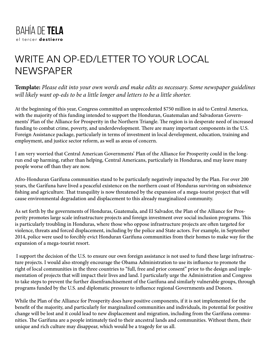## Write an Op-Ed/Letter to Your Local **NEWSPAPER**

**Template:** *Please edit into your own words and make edits as necessary. Some newspaper guidelines will likely want op-eds to be a little longer and letters to be a little shorter.* 

At the beginning of this year, Congress committed an unprecedented \$750 million in aid to Central America, with the majority of this funding intended to support the Honduran, Guatemalan and Salvadoran Governments' Plan of the Alliance for Prosperity in the Northern Triangle. The region is in desperate need of increased funding to combat crime, poverty, and underdevelopment. There are many important components in the U.S. Foreign Assistance package, particularly in terms of investment in local development, education, training and employment, and justice sector reform, as well as areas of concern.

I am very worried that Central American Governments' Plan of the Alliance for Prosperity could in the longrun end up harming, rather than helping, Central Americans, particularly in Honduras, and may leave many people worse off than they are now.

Afro-Honduran Garífuna communities stand to be particularly negatively impacted by the Plan. For over 200 years, the Garífuna have lived a peaceful existence on the northern coast of Honduras surviving on subsistence fishing and agriculture. That tranquility is now threatened by the expansion of a mega-tourist project that will cause environmental degradation and displacement to this already marginalized community.

As set forth by the governments of Honduras, Guatemala, and El Salvador, the Plan of the Alliance for Prosperity promotes large scale infrastructure projects and foreign investment over social inclusion programs. This is particularly troubling in Honduras, where those who oppose infrastructure projects are often targeted for violence, threats and forced displacement, including by the police and State actors. For example, in September 2014, police were used to forcibly evict Honduran Garifuna communities from their homes to make way for the expansion of a mega-tourist resort.

 I support the decision of the U.S. to ensure our own foreign assistance is not used to fund these large infrastructure projects. I would also strongly encourage the Obama Administration to use its influence to promote the right of local communities in the three countries to "full, free and prior consent" prior to the design and implementation of projects that will impact their lives and land. I particularly urge the Administration and Congress to take steps to prevent the further disenfranchisement of the Garífuna and similarly vulnerable groups, through programs funded by the U.S. and diplomatic pressure to influence regional Governments and Donors.

While the Plan of the Alliance for Prosperity does have positive components, if it is not implemented for the benefit of the majority, and particularly for marginalized communities and individuals, its potential for positive change will be lost and it could lead to new displacement and migration, including from the Garífuna communities. The Garífuna are a people intimately tied to their ancestral lands and communities. Without them, their unique and rich culture may disappear, which would be a tragedy for us all.